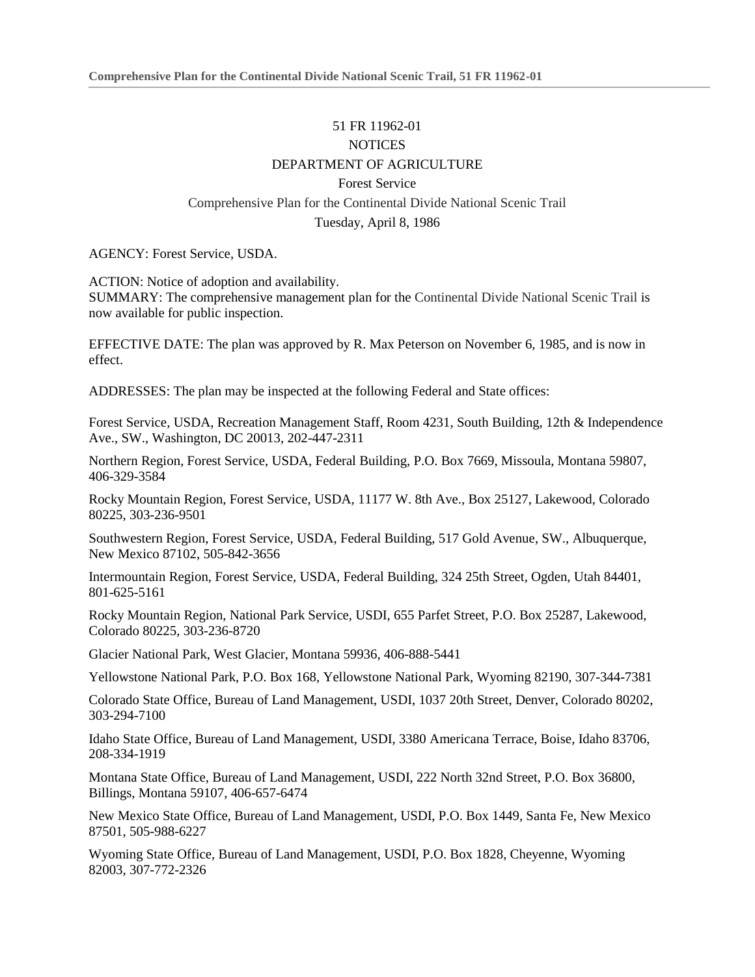## 51 FR 11962-01 **NOTICES** DEPARTMENT OF AGRICULTURE Forest Service Comprehensive Plan for the Continental Divide National Scenic Trail Tuesday, April 8, 1986

AGENCY: Forest Service, USDA.

ACTION: Notice of adoption and availability. SUMMARY: The comprehensive management plan for the Continental Divide National Scenic Trail is now available for public inspection.

EFFECTIVE DATE: The plan was approved by R. Max Peterson on November 6, 1985, and is now in effect.

ADDRESSES: The plan may be inspected at the following Federal and State offices:

Forest Service, USDA, Recreation Management Staff, Room 4231, South Building, 12th & Independence Ave., SW., Washington, DC 20013, 202-447-2311

Northern Region, Forest Service, USDA, Federal Building, P.O. Box 7669, Missoula, Montana 59807, 406-329-3584

Rocky Mountain Region, Forest Service, USDA, 11177 W. 8th Ave., Box 25127, Lakewood, Colorado 80225, 303-236-9501

Southwestern Region, Forest Service, USDA, Federal Building, 517 Gold Avenue, SW., Albuquerque, New Mexico 87102, 505-842-3656

Intermountain Region, Forest Service, USDA, Federal Building, 324 25th Street, Ogden, Utah 84401, 801-625-5161

Rocky Mountain Region, National Park Service, USDI, 655 Parfet Street, P.O. Box 25287, Lakewood, Colorado 80225, 303-236-8720

Glacier National Park, West Glacier, Montana 59936, 406-888-5441

Yellowstone National Park, P.O. Box 168, Yellowstone National Park, Wyoming 82190, 307-344-7381

Colorado State Office, Bureau of Land Management, USDI, 1037 20th Street, Denver, Colorado 80202, 303-294-7100

Idaho State Office, Bureau of Land Management, USDI, 3380 Americana Terrace, Boise, Idaho 83706, 208-334-1919

Montana State Office, Bureau of Land Management, USDI, 222 North 32nd Street, P.O. Box 36800, Billings, Montana 59107, 406-657-6474

New Mexico State Office, Bureau of Land Management, USDI, P.O. Box 1449, Santa Fe, New Mexico 87501, 505-988-6227

Wyoming State Office, Bureau of Land Management, USDI, P.O. Box 1828, Cheyenne, Wyoming 82003, 307-772-2326